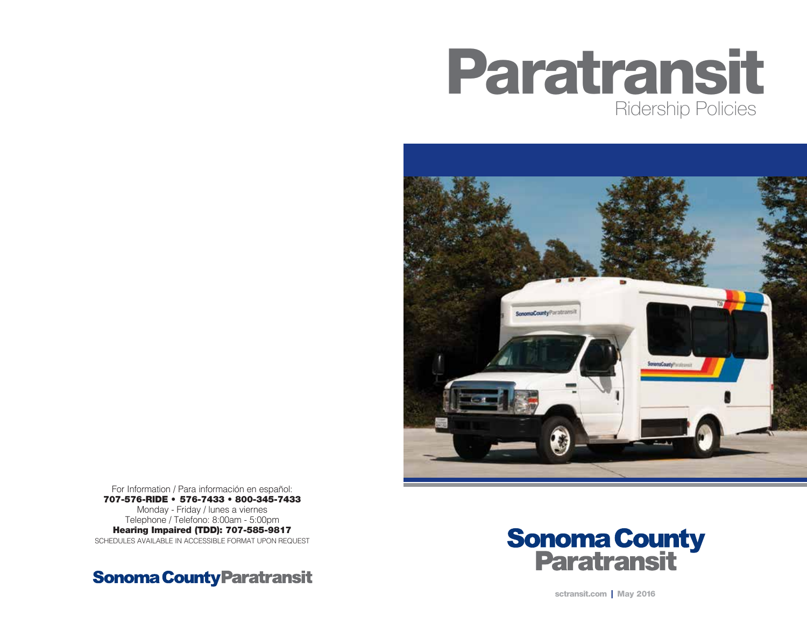



For Information / Para información en español: 707-576-RIDE • 576-7433 • 800-345-7433 Monday - Friday / lunes a viernes Telephone / Telefono: 8:00am - 5:00pm Hearing Impaired (TDD): 707-585-9817 SCHEDULES AVAILABLE IN ACCESSIBLE FORMAT UPON REQUEST

Sonoma County Paratransit



sctransit.com | May 2016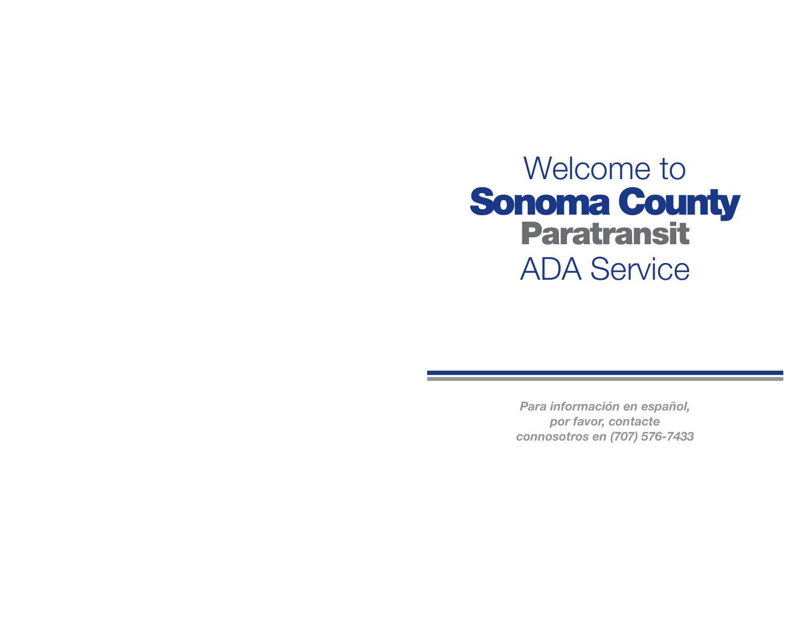

*Para información en español, por favor, contacte connosotros en (707) 576-7433*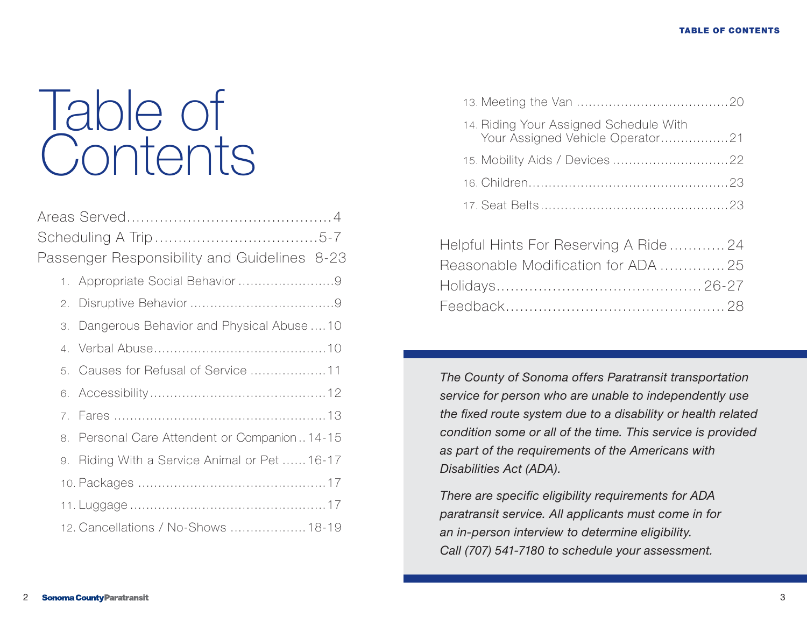## Table of **Contents**

| Passenger Responsibility and Guidelines 8-23 |
|----------------------------------------------|
|                                              |
|                                              |
| 3. Dangerous Behavior and Physical Abuse 10  |
|                                              |
|                                              |
|                                              |
|                                              |
| 8. Personal Care Attendent or Companion14-15 |
| 9. Riding With a Service Animal or Pet 16-17 |
|                                              |
|                                              |
| 12. Cancellations / No-Shows  18-19          |
|                                              |

| 14. Riding Your Assigned Schedule With<br>Your Assigned Vehicle Operator21 |  |
|----------------------------------------------------------------------------|--|
|                                                                            |  |
|                                                                            |  |
|                                                                            |  |
|                                                                            |  |

| Helpful Hints For Reserving A Ride24 |  |
|--------------------------------------|--|
| Reasonable Modification for ADA  25  |  |
|                                      |  |
|                                      |  |

*The County of Sonoma offers Paratransit transportation service for person who are unable to independently use the fixed route system due to a disability or health related condition some or all of the time. This service is provided as part of the requirements of the Americans with Disabilities Act (ADA).*

*There are specific eligibility requirements for ADA paratransit service. All applicants must come in for an in-person interview to determine eligibility. Call (707) 541-7180 to schedule your assessment.*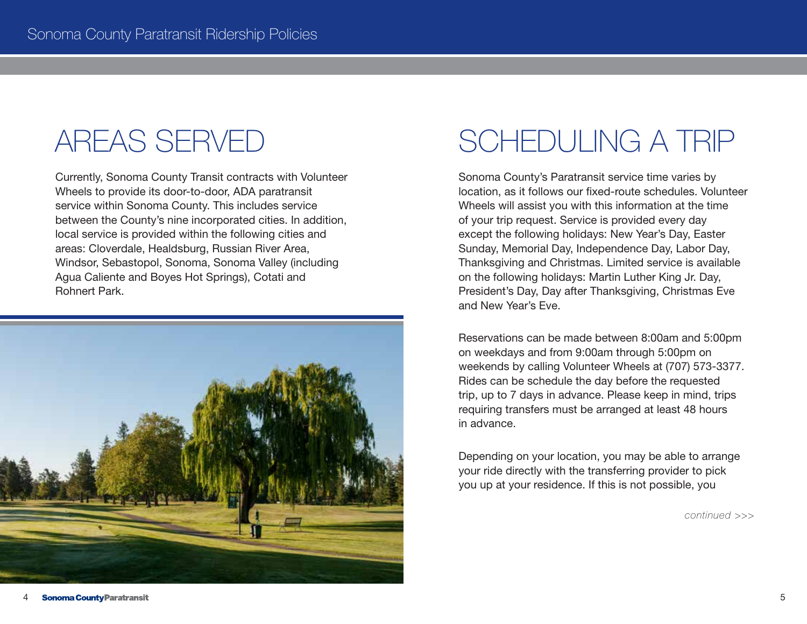Currently, Sonoma County Transit contracts with Volunteer Wheels to provide its door-to-door, ADA paratransit service within Sonoma County. This includes service between the County's nine incorporated cities. In addition, local service is provided within the following cities and areas: Cloverdale, Healdsburg, Russian River Area, Windsor, Sebastopol, Sonoma, Sonoma Valley (including Agua Caliente and Boyes Hot Springs), Cotati and Rohnert Park.



### AREAS SERVED SCHEDULING A TRIP

Sonoma County's Paratransit service time varies by location, as it follows our fixed-route schedules. Volunteer Wheels will assist you with this information at the time of your trip request. Service is provided every day except the following holidays: New Year's Day, Easter Sunday, Memorial Day, Independence Day, Labor Day, Thanksgiving and Christmas. Limited service is available on the following holidays: Martin Luther King Jr. Day, President's Day, Day after Thanksgiving, Christmas Eve and New Year's Eve.

Reservations can be made between 8:00am and 5:00pm on weekdays and from 9:00am through 5:00pm on weekends by calling Volunteer Wheels at (707) 573-3377. Rides can be schedule the day before the requested trip, up to 7 days in advance. Please keep in mind, trips requiring transfers must be arranged at least 48 hours in advance.

Depending on your location, you may be able to arrange your ride directly with the transferring provider to pick you up at your residence. If this is not possible, you

*continued >>>*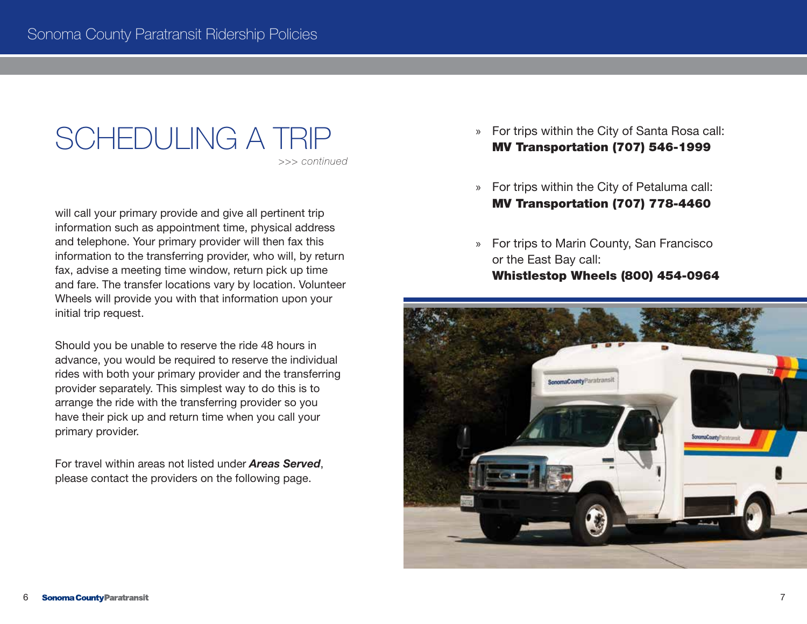## SCHEDULING A TRIP

*>>> continued* 

will call your primary provide and give all pertinent trip information such as appointment time, physical address and telephone. Your primary provider will then fax this information to the transferring provider, who will, by return fax, advise a meeting time window, return pick up time and fare. The transfer locations vary by location. Volunteer Wheels will provide you with that information upon your initial trip request.

Should you be unable to reserve the ride 48 hours in advance, you would be required to reserve the individual rides with both your primary provider and the transferring provider separately. This simplest way to do this is to arrange the ride with the transferring provider so you have their pick up and return time when you call your primary provider.

For travel within areas not listed under *Areas Served*, please contact the providers on the following page.

- » For trips within the City of Santa Rosa call: MV Transportation (707) 546-1999
- » For trips within the City of Petaluma call: MV Transportation (707) 778-4460
- » For trips to Marin County, San Francisco or the East Bay call: Whistlestop Wheels (800) 454-0964

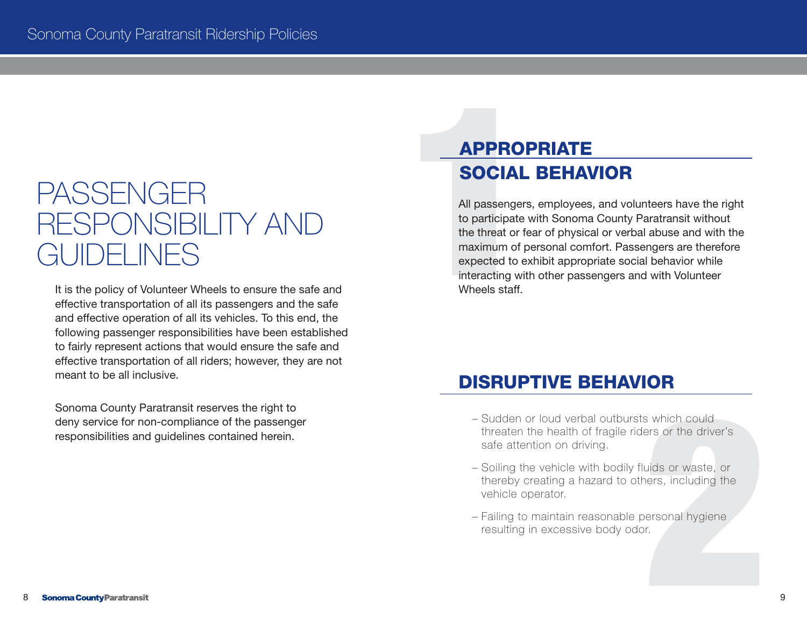# PASSENGER RESPONSIBILITY AND PASSENGER<br>
PASSENGER<br>
RESPONSIBILITY AND<br>
CUIDELINES<br>
It is the policy of Volunteer Wheels to ensure the safe and<br>
and effective oneration of all its pericles. To this end the<br>
and effective oneration of all its vehicles.

It is the policy of Volunteer Wheels to ensure the safe and effective transportation of all its passengers and the safe and effective operation of all its vehicles. To this end, the following passenger responsibilities have been established to fairly represent actions that would ensure the safe and effective transportation of all riders; however, they are not meant to be all inclusive.

Sonoma County Paratransit reserves the right to deny service for non-compliance of the passenger responsibilities and guidelines contained herein.

#### APPROPRIATE SOCIAL BEHAVIOR

All passengers, employees, and volunteers have the right to participate with Sonoma County Paratransit without the threat or fear of physical or verbal abuse and with the maximum of personal comfort. Passengers are therefore expected to exhibit appropriate social behavior while interacting with other passengers and with Volunteer Wheels staff.

#### DISRUPTIVE BEHAVIOR

- Sudden or loud verbal outbursts which could threaten the health of fragile riders or the driver's safe attention on driving.
- s which could<br>ers or the driver's<br>uids or waste, or<br>lers, including the<br>ersonal hygiene<br>r. – Soiling the vehicle with bodily fluids or waste, or thereby creating a hazard to others, including the vehicle operator.
- Failing to maintain reasonable personal hygiene resulting in excessive body odor.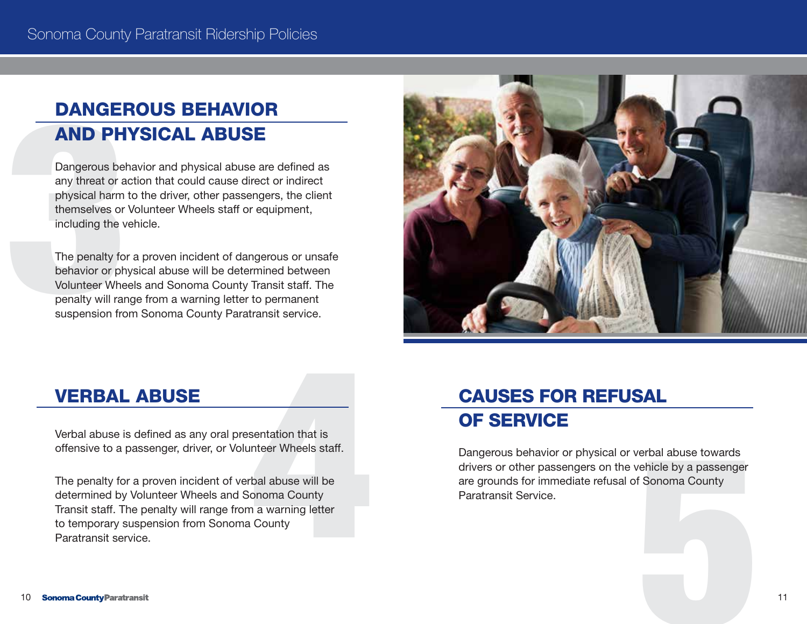#### DANGEROUS BEHAVIOR AND PHYSICAL ABUSE

**DANGEF**<br> **AND PH**<br>
Dangerous bet<br>
any threat or a<br>
physical harm<br>
themselves or<br>
including the v<br>
The penalty for<br>
Dehavior or ph<br>
Volunteer Whe<br>
penalty will ran<br>
suspension fro Dangerous behavior and physical abuse are defined as any threat or action that could cause direct or indirect physical harm to the driver, other passengers, the client themselves or Volunteer Wheels staff or equipment, including the vehicle.

The penalty for a proven incident of dangerous or unsafe behavior or physical abuse will be determined between Volunteer Wheels and Sonoma County Transit staff. The penalty will range from a warning letter to permanent suspension from Sonoma County Paratransit service.



#### VERBAL ABUSE

offensive to a passenger, driver, or Volunteer Wheels staff.

**VERBAL ABUSE**<br>Verbal abuse is defined as any oral presentation that is<br>offensive to a passenger, driver, or Volunteer Wheels staff.<br>The penalty for a proven incident of verbal abuse will be<br>determined by Volunteer Wheels The penalty for a proven incident of verbal abuse will be determined by Volunteer Wheels and Sonoma County Transit staff. The penalty will range from a warning letter to temporary suspension from Sonoma County Paratransit service.

#### CAUSES FOR REFUSAL OF SERVICE

erbal abuse towards<br>ehicle by a passenger<br>5 Sonoma County<br>19 Sonoma County<br>19 Sonoma County<br>19 Sonoma County<br>19 Sonoma County<br>19 Sonoma County<br>19 Sonoma County Dangerous behavior or physical or verbal abuse towards drivers or other passengers on the vehicle by a passenger are grounds for immediate refusal of Sonoma County Paratransit Service.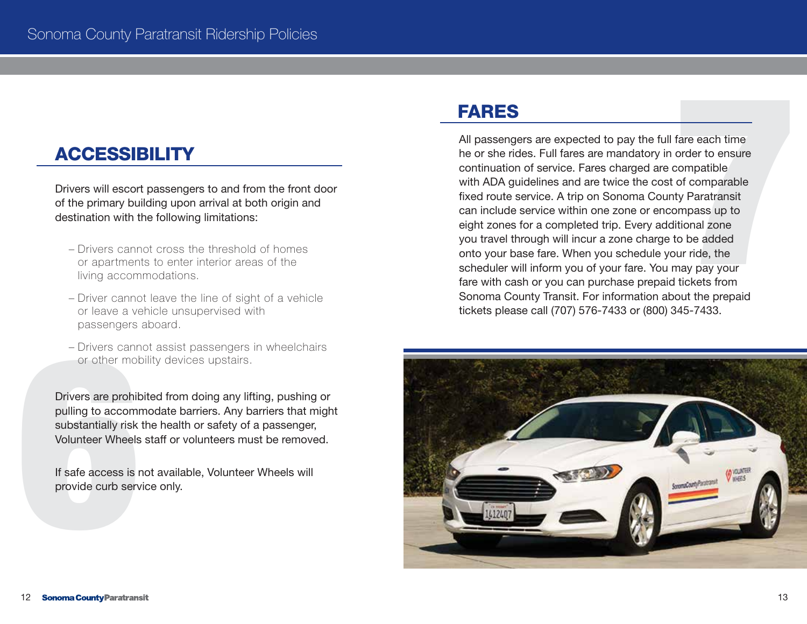Drivers will escort passengers to and from the front door of the primary building upon arrival at both origin and destination with the following limitations:

- Drivers cannot cross the threshold of homes or apartments to enter interior areas of the living accommodations.
- Driver cannot leave the line of sight of a vehicle or leave a vehicle unsupervised with passengers aboard.
- Drivers cannot assist passengers in wheelchairs or other mobility devices upstairs.

- Drivers cannum<br>or other molumed<br>Drivers are prohibing to accomming to accomming the substantially risk<br>Volunteer Wheels<br>If safe access is a provide curb served Drivers are prohibited from doing any lifting, pushing or pulling to accommodate barriers. Any barriers that might substantially risk the health or safety of a passenger, Volunteer Wheels staff or volunteers must be removed.

If safe access is not available, Volunteer Wheels will provide curb service only.

#### FARES

ACCESSIBILITY ANTES<br>
All passengers are expected to pay the full fare each time<br>
he or she rides. Full fares are mandatory in order to ensure<br>
ontinuation of service. Fares charged are compatible<br>
or the primary building u he or she rides. Full fares are mandatory in order to ensure continuation of service. Fares charged are compatible with ADA guidelines and are twice the cost of comparable fixed route service. A trip on Sonoma County Paratransit can include service within one zone or encompass up to eight zones for a completed trip. Every additional zone you travel through will incur a zone charge to be added onto your base fare. When you schedule your ride, the scheduler will inform you of your fare. You may pay your fare with cash or you can purchase prepaid tickets from Sonoma County Transit. For information about the prepaid tickets please call (707) 576-7433 or (800) 345-7433.

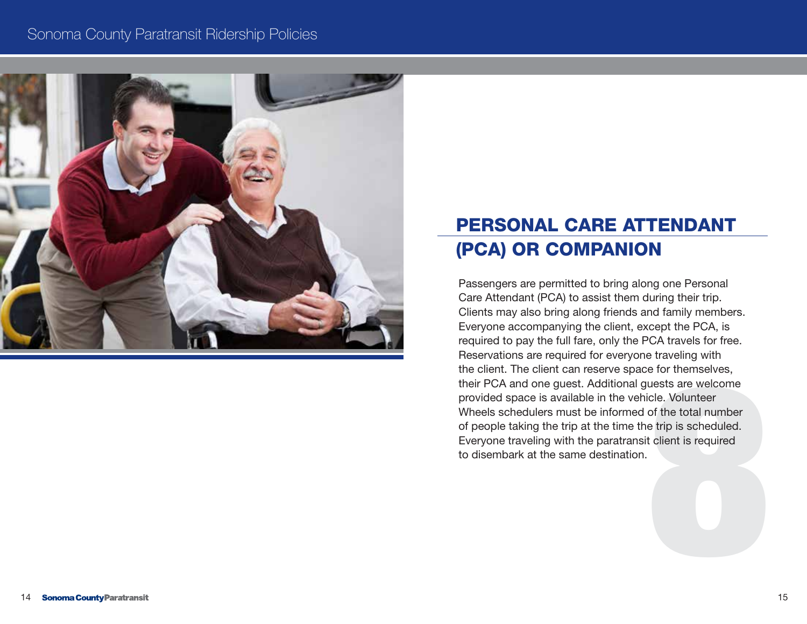#### Sonoma County Paratransit Ridership Policies



#### PERSONAL CARE ATTENDANT (PCA) OR COMPANION

e for themselves,<br>uests are welcome<br>icle. Volunteer<br>of the total number<br>e trip is scheduled.<br>t client is required Passengers are permitted to bring along one Personal Care Attendant (PCA) to assist them during their trip. Clients may also bring along friends and family members. Everyone accompanying the client, except the PCA, is required to pay the full fare, only the PCA travels for free. Reservations are required for everyone traveling with the client. The client can reserve space for themselves, their PCA and one guest. Additional guests are welcome provided space is available in the vehicle. Volunteer Wheels schedulers must be informed of the total number of people taking the trip at the time the trip is scheduled. Everyone traveling with the paratransit client is required to disembark at the same destination.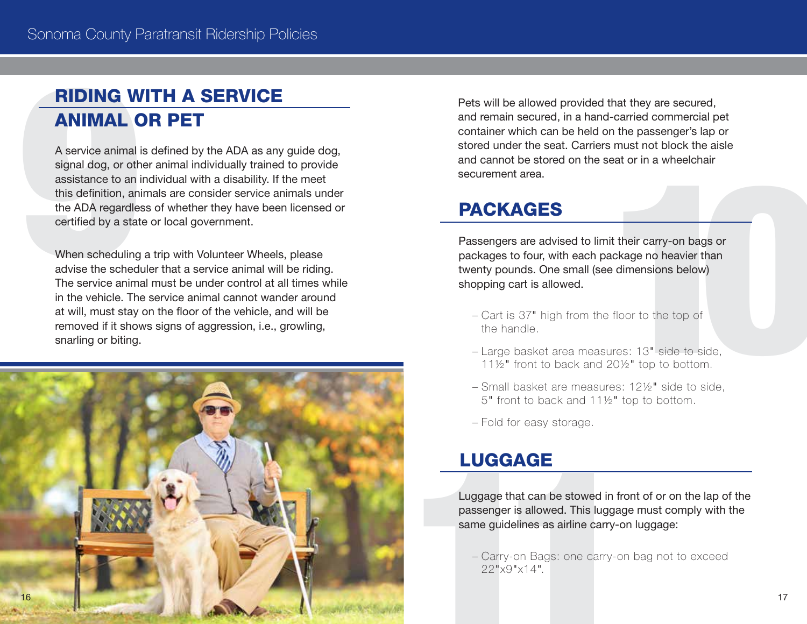#### RIDING WITH A SERVICE ANIMAL OR PET

**RIDING W<br>
A service animal isignal dog, or oth assistance to an intimate ADA regardle:<br>
this definition, an the ADA regardle:<br>
certified by a stat<br>
When scheduling advise the sched<br>
The service animal in the vehicle. The** A service animal is defined by the ADA as any guide dog, signal dog, or other animal individually trained to provide assistance to an individual with a disability. If the meet this definition, animals are consider service animals under the ADA regardless of whether they have been licensed or certified by a state or local government.

When scheduling a trip with Volunteer Wheels, please advise the scheduler that a service animal will be riding. The service animal must be under control at all times while in the vehicle. The service animal cannot wander around at will, must stay on the floor of the vehicle, and will be removed if it shows signs of aggression, i.e., growling, snarling or biting.



Pets will be allowed provided that they are secured, and remain secured, in a hand-carried commercial pet container which can be held on the passenger's lap or stored under the seat. Carriers must not block the aisle and cannot be stored on the seat or in a wheelchair securement area.

#### PACKAGES

**PACKAGES**<br> **PACKAGES**<br> **PASSE PASSE PASSES**<br> **PASSE PASSE PASSES**<br> **PASSE PASSES ATTLE TO ASSESS OF DASSES OF DASSES OF DASSES OF DASSES OF DASSES OF DASSES PASSES And the floor to the top of<br>
The handle.<br>
- Large basket** packages to four, with each package no heavier than twenty pounds. One small (see dimensions below) shopping cart is allowed.

- Cart is 37" high from the floor to the top of the handle.
- Large basket area measures: 13" side to side, 11½" front to back and 20½" top to bottom.
- Small basket are measures: 12½" side to side, 5" front to back and 11½" top to bottom.
- Fold for easy storage.

#### LUGGAGE

Luggage that can be stowed in front of or on the lap of the passenger is allowed. This luggage must comply with the same guidelines as airline carry-on luggage:<br>- Carry-on Bags: one carry-on bag not to exceed 22"x9"x14". passenger is allowed. This luggage must comply with the same guidelines as airline carry-on luggage:

– Carry-on Bags: one carry-on bag not to exceed 22"x9"x14".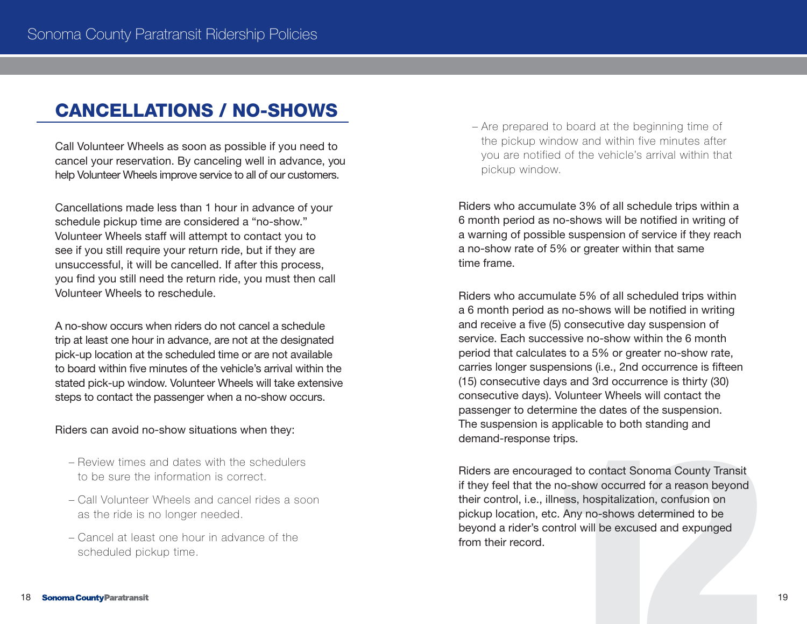#### CANCELLATIONS / NO-SHOWS

Call Volunteer Wheels as soon as possible if you need to cancel your reservation. By canceling well in advance, you help Volunteer Wheels improve service to all of our customers.

Cancellations made less than 1 hour in advance of your schedule pickup time are considered a "no-show." Volunteer Wheels staff will attempt to contact you to see if you still require your return ride, but if they are unsuccessful, it will be cancelled. If after this process, you find you still need the return ride, you must then call Volunteer Wheels to reschedule.

A no-show occurs when riders do not cancel a schedule trip at least one hour in advance, are not at the designated pick-up location at the scheduled time or are not available to board within five minutes of the vehicle's arrival within the stated pick-up window. Volunteer Wheels will take extensive steps to contact the passenger when a no-show occurs.

#### Riders can avoid no-show situations when they:

- Review times and dates with the schedulers to be sure the information is correct.
- Call Volunteer Wheels and cancel rides a soon as the ride is no longer needed.
- Cancel at least one hour in advance of the scheduled pickup time.

– Are prepared to board at the beginning time of the pickup window and within five minutes after you are notified of the vehicle's arrival within that pickup window.

Riders who accumulate 3% of all schedule trips within a 6 month period as no-shows will be notified in writing of a warning of possible suspension of service if they reach a no-show rate of 5% or greater within that same time frame.

Riders who accumulate 5% of all scheduled trips within a 6 month period as no-shows will be notified in writing and receive a five (5) consecutive day suspension of service. Each successive no-show within the 6 month period that calculates to a 5% or greater no-show rate, carries longer suspensions (i.e., 2nd occurrence is fifteen (15) consecutive days and 3rd occurrence is thirty (30) consecutive days). Volunteer Wheels will contact the passenger to determine the dates of the suspension. The suspension is applicable to both standing and demand-response trips.

trips.<br>ged to contact Sonoma County Transit<br>no-show occurred for a reason beyond<br>ness, hospitalization, confusion on<br>c. Any no-shows determined to be<br>pntrol will be excused and expunged Riders are encouraged to contact Sonoma County Transit if they feel that the no-show occurred for a reason beyond their control, i.e., illness, hospitalization, confusion on pickup location, etc. Any no-shows determined to be beyond a rider's control will be excused and expunged from their record.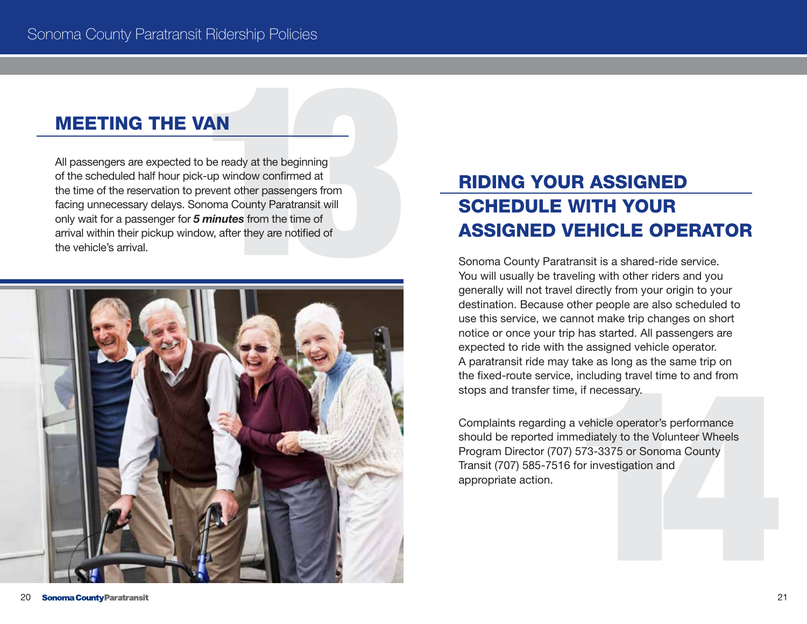#### MEETING THE VAN

**MEETING THE VAN**<br>All passengers are expected to be ready at the beginning<br>of the scheduled half hour pick-up window confirmed at<br>the time of the reservation to prevent other passengers from<br>only wait for a passenger for 5 of the scheduled half hour pick-up window confirmed at the time of the reservation to prevent other passengers from facing unnecessary delays. Sonoma County Paratransit will only wait for a passenger for *5 minutes* from the time of arrival within their pickup window, after they are notified of the vehicle's arrival.



#### RIDING YOUR ASSIGNED SCHEDULE WITH YOUR ASSIGNED VEHICLE OPERATOR

Sonoma County Paratransit is a shared-ride service. You will usually be traveling with other riders and you generally will not travel directly from your origin to your destination. Because other people are also scheduled to use this service, we cannot make trip changes on short notice or once your trip has started. All passengers are expected to ride with the assigned vehicle operator. A paratransit ride may take as long as the same trip on the fixed-route service, including travel time to and from stops and transfer time, if necessary.

including travel time to and from<br>
, if necessary.<br>
vehicle operator's performance<br>
nediately to the Volunteer Wheels<br>
573-3375 or Sonoma County<br>
for investigation and<br>
2 Complaints regarding a vehicle operator's performance should be reported immediately to the Volunteer Wheels Program Director (707) 573-3375 or Sonoma County Transit (707) 585-7516 for investigation and appropriate action.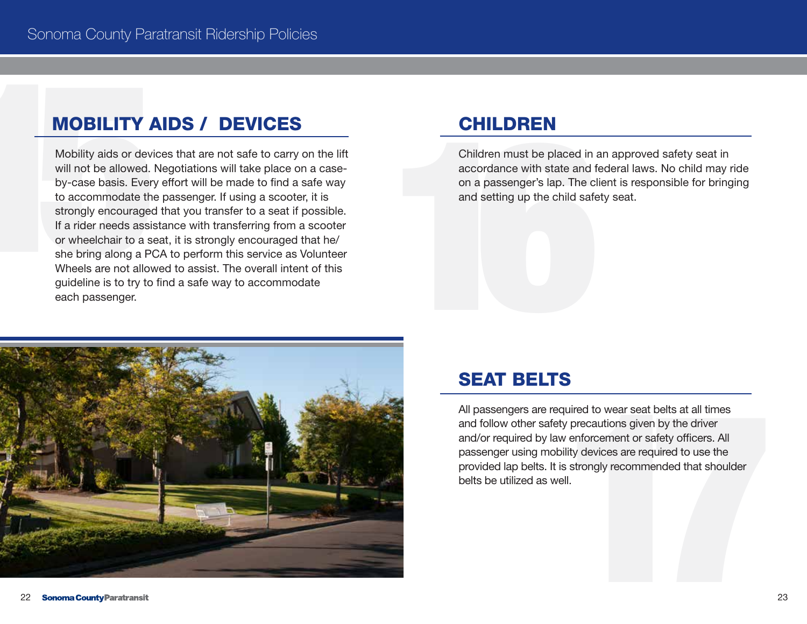#### MOBILITY AIDS / DEVICES

**MOBILITY AIDS / DEVICES**<br>Mobility aids or devices that are not safe to carry on the lift<br>will not be allowed. Negotiations will take place on a case-<br>by-case basis. Every effort will be made to find a safe way<br>to accommod will not be allowed. Negotiations will take place on a caseby-case basis. Every effort will be made to find a safe way to accommodate the passenger. If using a scooter, it is strongly encouraged that you transfer to a seat if possible. If a rider needs assistance with transferring from a scooter or wheelchair to a seat, it is strongly encouraged that he/ she bring along a PCA to perform this service as Volunteer Wheels are not allowed to assist. The overall intent of this guideline is to try to find a safe way to accommodate each passenger.

#### **CHILDREN**

**CHILDREN**<br>
Children must be placed in a<br>
accordance with state and for<br>
on a passenger's lap. The cl<br>
and setting up the child safe Children must be placed in an approved safety seat in accordance with state and federal laws. No child may ride on a passenger's lap. The client is responsible for bringing and setting up the child safety seat.



#### SEAT BELTS

uired to wear seat belts at all times<br>
v precautions given by the driver<br>
enforcement or safety officers. All<br>
lity devices are required to use the<br>
strongly recommended that shoulder<br>
II. All passengers are required to wear seat belts at all times and follow other safety precautions given by the driver and/or required by law enforcement or safety officers. All passenger using mobility devices are required to use the provided lap belts. It is strongly recommended that shoulder belts be utilized as well.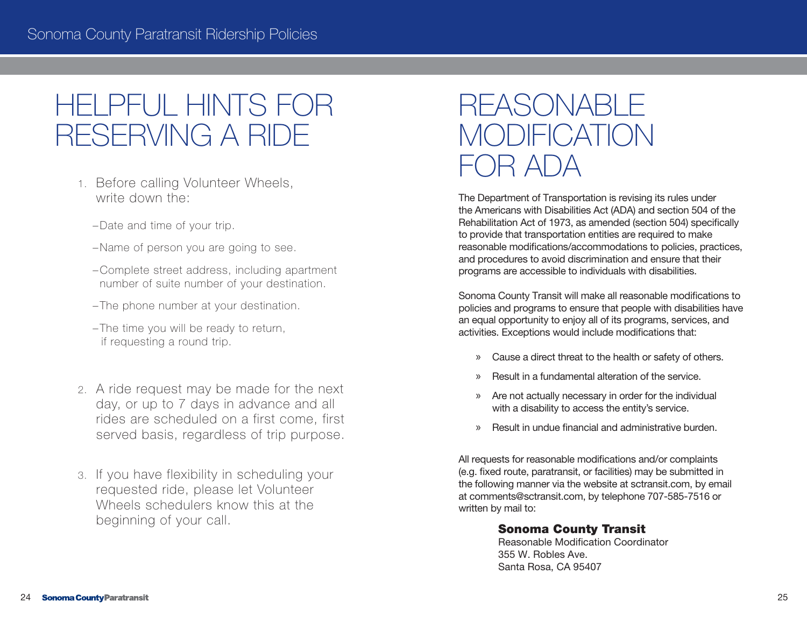#### HELPFUL HINTS FOR RESERVING A RIDE

- 1. Before calling Volunteer Wheels, write down the:
	- –Date and time of your trip.
	- –Name of person you are going to see.
	- –Complete street address, including apartment number of suite number of your destination.
	- The phone number at your destination.
	- The time you will be ready to return, if requesting a round trip.
- 2. A ride request may be made for the next day, or up to 7 days in advance and all rides are scheduled on a first come, first served basis, regardless of trip purpose.
- 3. If you have flexibility in scheduling your requested ride, please let Volunteer Wheels schedulers know this at the beginning of your call.

#### REASONABLE **MODIFICATION**  $\cap$ R $\triangle$ l $\cap$ A $\triangle$

The Department of Transportation is revising its rules under the Americans with Disabilities Act (ADA) and section 504 of the Rehabilitation Act of 1973, as amended (section 504) specifically to provide that transportation entities are required to make reasonable modifications/accommodations to policies, practices, and procedures to avoid discrimination and ensure that their programs are accessible to individuals with disabilities.

Sonoma County Transit will make all reasonable modifications to policies and programs to ensure that people with disabilities have an equal opportunity to enjoy all of its programs, services, and activities. Exceptions would include modifications that:

- » Cause a direct threat to the health or safety of others.
- » Result in a fundamental alteration of the service.
- » Are not actually necessary in order for the individual with a disability to access the entity's service.
- » Result in undue financial and administrative burden.

All requests for reasonable modifications and/or complaints (e.g. fixed route, paratransit, or facilities) may be submitted in the following manner via the website at sctransit.com, by email at comments@sctransit.com, by telephone 707-585-7516 or written by mail to:

#### Sonoma County Transit

Reasonable Modification Coordinator 355 W. Robles Ave. Santa Rosa, CA 95407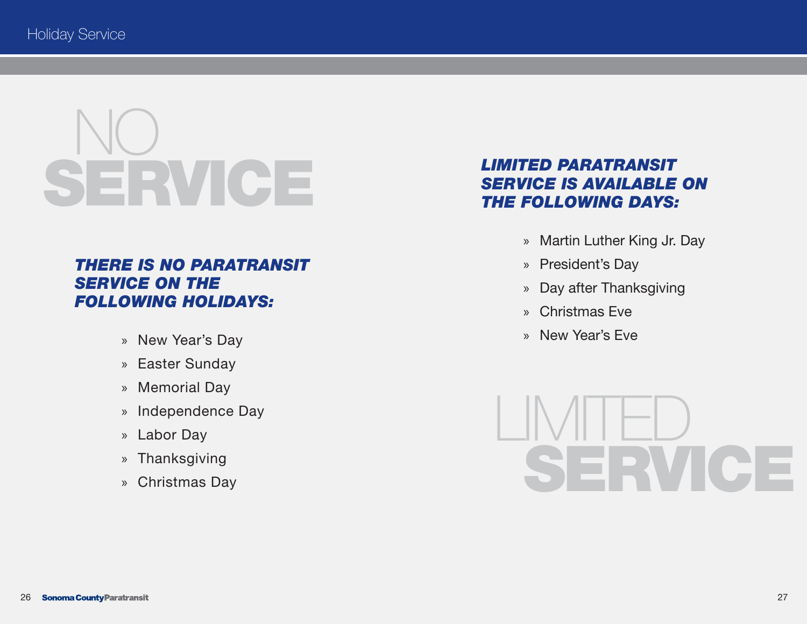# NO **SERVICE**

#### *THERE IS NO PARATRANSIT SERVICE ON THE FOLLOWING HOLIDAYS:*

- » New Year's Day
- » Easter Sunday
- » Memorial Day
- » Independence Day
- » Labor Day
- » Thanksgiving
- » Christmas Day

#### *LIMITED PARATRANSIT SERVICE IS AVAILABLE ON THE FOLLOWING DAYS:*

- » Martin Luther King Jr. Day
- » President's Day
- » Day after Thanksgiving
- » Christmas Eve
- » New Year's Eve

LIMITED SERVICE